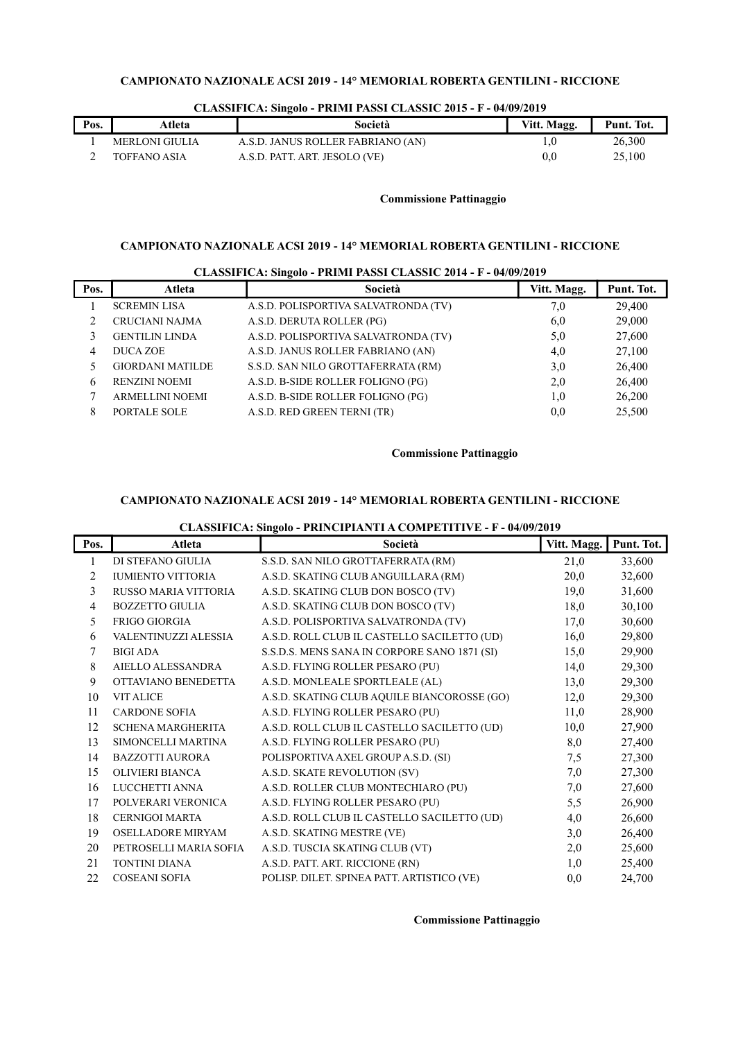| Pos. | Atleta         | Società                           | Vitt. Magg.  | Punt. Tot. |
|------|----------------|-----------------------------------|--------------|------------|
|      | MERLONI GIULIA | A.S.D. JANUS ROLLER FABRIANO (AN) | L.U          | 26.300     |
|      | TOFFANO ASIA   | A.S.D. PATT. ART. JESOLO (VE)     | $_{\rm 0.0}$ | 25.100     |

### CLASSIFICA: Singolo - PRIMI PASSI CLASSIC 2015 - F - 04/09/2019

# Commissione Pattinaggio

# CAMPIONATO NAZIONALE ACSI 2019 - 14° MEMORIAL ROBERTA GENTILINI - RICCIONE

|      | $\frac{1}{2}$           |                                      |             |            |  |
|------|-------------------------|--------------------------------------|-------------|------------|--|
| Pos. | <b>Atleta</b>           | Società                              | Vitt. Magg. | Punt. Tot. |  |
|      | <b>SCREMIN LISA</b>     | A.S.D. POLISPORTIVA SALVATRONDA (TV) | 7,0         | 29,400     |  |
|      | <b>CRUCIANI NAJMA</b>   | A.S.D. DERUTA ROLLER (PG)            | 6,0         | 29,000     |  |
|      | <b>GENTILIN LINDA</b>   | A.S.D. POLISPORTIVA SALVATRONDA (TV) | 5,0         | 27,600     |  |
| 4    | DUCA ZOE                | A.S.D. JANUS ROLLER FABRIANO (AN)    | 4,0         | 27,100     |  |
|      | <b>GIORDANI MATILDE</b> | S.S.D. SAN NILO GROTTAFERRATA (RM)   | 3,0         | 26,400     |  |
| 6    | <b>RENZINI NOEMI</b>    | A.S.D. B-SIDE ROLLER FOLIGNO (PG)    | 2,0         | 26,400     |  |
|      | <b>ARMELLINI NOEMI</b>  | A.S.D. B-SIDE ROLLER FOLIGNO (PG)    | 1,0         | 26,200     |  |
| 8    | PORTALE SOLE            | A.S.D. RED GREEN TERNI (TR)          | 0,0         | 25,500     |  |
|      |                         |                                      |             |            |  |

#### CLASSIFICA: Singolo - PRIMI PASSI CLASSIC 2014 - F - 04/09/2019

### Commissione Pattinaggio

# CAMPIONATO NAZIONALE ACSI 2019 - 14° MEMORIAL ROBERTA GENTILINI - RICCIONE

# CLASSIFICA: Singolo - PRINCIPIANTI A COMPETITIVE - F - 04/09/2019

| Pos. | Atleta                   | Società                                      | Vitt. Magg. | Punt. Tot. |
|------|--------------------------|----------------------------------------------|-------------|------------|
|      | DI STEFANO GIULIA        | S.S.D. SAN NILO GROTTAFERRATA (RM)           | 21,0        | 33,600     |
| 2    | <b>IUMIENTO VITTORIA</b> | A.S.D. SKATING CLUB ANGUILLARA (RM)          | 20,0        | 32,600     |
| 3    | RUSSO MARIA VITTORIA     | A.S.D. SKATING CLUB DON BOSCO (TV)           | 19,0        | 31,600     |
| 4    | <b>BOZZETTO GIULIA</b>   | A.S.D. SKATING CLUB DON BOSCO (TV)           | 18,0        | 30,100     |
| 5.   | FRIGO GIORGIA            | A.S.D. POLISPORTIVA SALVATRONDA (TV)         | 17,0        | 30,600     |
| 6    | VALENTINUZZI ALESSIA     | A.S.D. ROLL CLUB IL CASTELLO SACILETTO (UD)  | 16,0        | 29,800     |
|      | <b>BIGI ADA</b>          | S.S.D.S. MENS SANA IN CORPORE SANO 1871 (SI) | 15,0        | 29,900     |
| 8    | AIELLO ALESSANDRA        | A.S.D. FLYING ROLLER PESARO (PU)             | 14,0        | 29,300     |
| 9    | OTTAVIANO BENEDETTA      | A.S.D. MONLEALE SPORTLEALE (AL)              | 13,0        | 29,300     |
| 10   | <b>VIT ALICE</b>         | A.S.D. SKATING CLUB AQUILE BIANCOROSSE (GO)  | 12,0        | 29,300     |
| 11   | <b>CARDONE SOFIA</b>     | A.S.D. FLYING ROLLER PESARO (PU)             | 11,0        | 28,900     |
| 12   | <b>SCHENA MARGHERITA</b> | A.S.D. ROLL CLUB IL CASTELLO SACILETTO (UD)  | 10,0        | 27,900     |
| 13   | SIMONCELLI MARTINA       | A.S.D. FLYING ROLLER PESARO (PU)             | 8,0         | 27,400     |
| 14   | <b>BAZZOTTI AURORA</b>   | POLISPORTIVA AXEL GROUP A.S.D. (SI)          | 7,5         | 27,300     |
| 15   | <b>OLIVIERI BIANCA</b>   | A.S.D. SKATE REVOLUTION (SV)                 | 7,0         | 27,300     |
| 16   | LUCCHETTI ANNA           | A.S.D. ROLLER CLUB MONTECHIARO (PU)          | 7,0         | 27,600     |
| 17   | POLVERARI VERONICA       | A.S.D. FLYING ROLLER PESARO (PU)             | 5,5         | 26,900     |
| 18   | <b>CERNIGOI MARTA</b>    | A.S.D. ROLL CLUB IL CASTELLO SACILETTO (UD)  | 4,0         | 26,600     |
| 19   | OSELLADORE MIRYAM        | A.S.D. SKATING MESTRE (VE)                   | 3,0         | 26,400     |
| 20   | PETROSELLI MARIA SOFIA   | A.S.D. TUSCIA SKATING CLUB (VT)              | 2,0         | 25,600     |
| 21   | TONTINI DIANA            | A.S.D. PATT. ART. RICCIONE (RN)              | 1,0         | 25,400     |
| 22   | <b>COSEANI SOFIA</b>     | POLISP. DILET. SPINEA PATT. ARTISTICO (VE)   | 0,0         | 24,700     |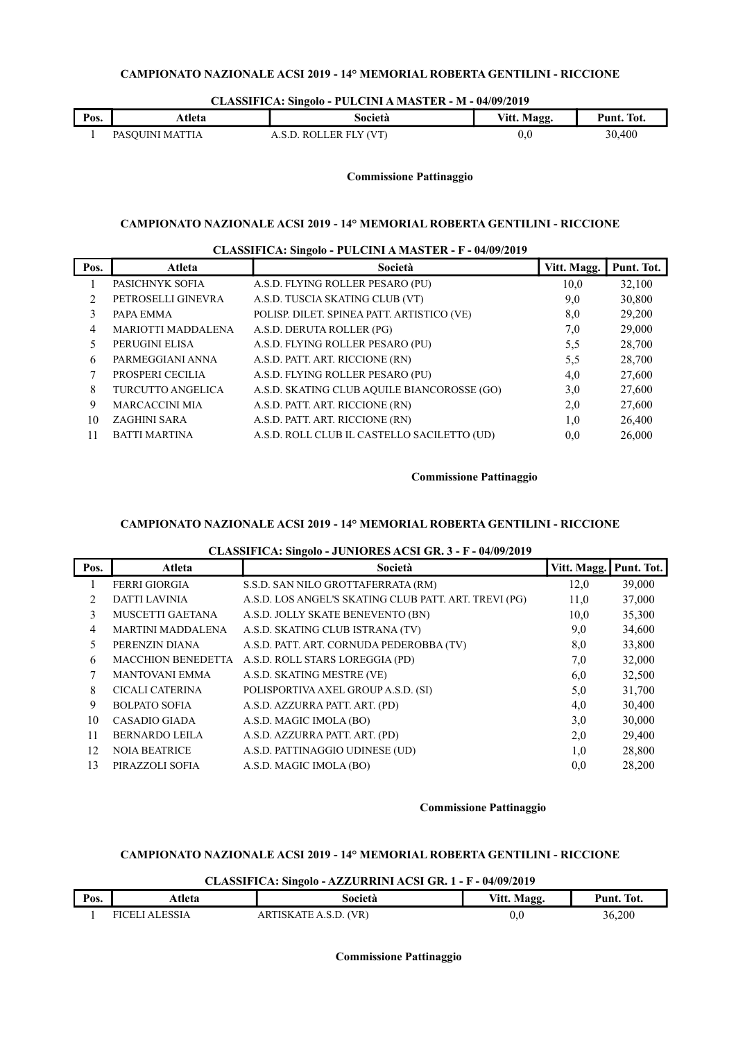### CLASSIFICA: Singolo - PULCINI A MASTER - M - 04/09/2019

| Pos. | Atleta                                 | Società                  | Vitt. Magg. | Punt. Tot. |
|------|----------------------------------------|--------------------------|-------------|------------|
|      | TTIA<br>PAS<br>ASO UTINI<br><b>MAI</b> | V (VT)<br><br><b>ROU</b> | 0.0         | 30,400     |

### Commissione Pattinaggio

# CAMPIONATO NAZIONALE ACSI 2019 - 14° MEMORIAL ROBERTA GENTILINI - RICCIONE

| CLASSIFICA: Singolo - PULCINI A MASTER - F - 04/09/2019 |                           |                                             |             |            |  |
|---------------------------------------------------------|---------------------------|---------------------------------------------|-------------|------------|--|
| Pos.                                                    | Atleta                    | Società                                     | Vitt. Magg. | Punt. Tot. |  |
|                                                         | PASICHNYK SOFIA           | A.S.D. FLYING ROLLER PESARO (PU)            | 10,0        | 32,100     |  |
| $\mathfrak{D}_{\mathfrak{p}}$                           | PETROSELLI GINEVRA        | A.S.D. TUSCIA SKATING CLUB (VT)             | 9,0         | 30,800     |  |
| 3                                                       | PAPA EMMA                 | POLISP. DILET. SPINEA PATT. ARTISTICO (VE)  | 8,0         | 29,200     |  |
| 4                                                       | <b>MARIOTTI MADDALENA</b> | A.S.D. DERUTA ROLLER (PG)                   | 7,0         | 29,000     |  |
| 5                                                       | PERUGINI ELISA            | A.S.D. FLYING ROLLER PESARO (PU)            | 5,5         | 28,700     |  |
| 6                                                       | PARMEGGIANI ANNA          | A.S.D. PATT. ART. RICCIONE (RN)             | 5,5         | 28,700     |  |
| 7                                                       | PROSPERI CECILIA          | A.S.D. FLYING ROLLER PESARO (PU)            | 4,0         | 27,600     |  |
| 8                                                       | <b>TURCUTTO ANGELICA</b>  | A.S.D. SKATING CLUB AQUILE BIANCOROSSE (GO) | 3,0         | 27,600     |  |
| 9                                                       | <b>MARCACCINI MIA</b>     | A.S.D. PATT. ART. RICCIONE (RN)             | 2,0         | 27,600     |  |
| 10                                                      | ZAGHINI SARA              | A.S.D. PATT. ART. RICCIONE (RN)             | 1.0         | 26,400     |  |
| 11                                                      | <b>BATTI MARTINA</b>      | A.S.D. ROLL CLUB IL CASTELLO SACILETTO (UD) | 0,0         | 26,000     |  |

### Commissione Pattinaggio

### CAMPIONATO NAZIONALE ACSI 2019 - 14° MEMORIAL ROBERTA GENTILINI - RICCIONE

### CLASSIFICA: Singolo - JUNIORES ACSI GR. 3 - F - 04/09/2019

| Pos. | Atleta                    | Società                                               | Vitt. Magg. | Punt. Tot. |
|------|---------------------------|-------------------------------------------------------|-------------|------------|
|      | <b>FERRI GIORGIA</b>      | S.S.D. SAN NILO GROTTAFERRATA (RM)                    | 12,0        | 39,000     |
| 2.   | <b>DATTI LAVINIA</b>      | A.S.D. LOS ANGEL'S SKATING CLUB PATT. ART. TREVI (PG) | 11,0        | 37,000     |
| 3    | MUSCETTI GAETANA          | A.S.D. JOLLY SKATE BENEVENTO (BN)                     | 10,0        | 35,300     |
| 4    | <b>MARTINI MADDALENA</b>  | A.S.D. SKATING CLUB ISTRANA (TV)                      | 9,0         | 34,600     |
| 5.   | PERENZIN DIANA            | A.S.D. PATT. ART. CORNUDA PEDEROBBA (TV)              | 8,0         | 33,800     |
| 6    | <b>MACCHION BENEDETTA</b> | A.S.D. ROLL STARS LOREGGIA (PD)                       | 7,0         | 32,000     |
| 7    | <b>MANTOVANI EMMA</b>     | A.S.D. SKATING MESTRE (VE)                            | 6,0         | 32,500     |
| 8    | <b>CICALI CATERINA</b>    | POLISPORTIVA AXEL GROUP A.S.D. (SI)                   | 5,0         | 31,700     |
| 9    | <b>BOLPATO SOFIA</b>      | A.S.D. AZZURRA PATT. ART. (PD)                        | 4,0         | 30,400     |
| 10   | <b>CASADIO GIADA</b>      | A.S.D. MAGIC IMOLA (BO)                               | 3,0         | 30,000     |
| 11   | <b>BERNARDO LEILA</b>     | A.S.D. AZZURRA PATT. ART. (PD)                        | 2,0         | 29,400     |
| 12   | <b>NOIA BEATRICE</b>      | A.S.D. PATTINAGGIO UDINESE (UD)                       | 1,0         | 28,800     |
| 13   | PIRAZZOLI SOFIA           | A.S.D. MAGIC IMOLA (BO)                               | 0,0         | 28,200     |

### Commissione Pattinaggio

# CAMPIONATO NAZIONALE ACSI 2019 - 14° MEMORIAL ROBERTA GENTILINI - RICCIONE

### CLASSIFICA: Singolo - AZZURRINI ACSI GR. 1 - F - 04/09/2019

|      |                | $\frac{1}{2}$         |             |            |
|------|----------------|-----------------------|-------------|------------|
| Pos. | ⊾tleta         | Società               | Vitt. Magg. | Punt. Tot. |
|      | FICELI ALESSIA | ARTISKATE A.S.D. (VR) | 0.0         | 36,200     |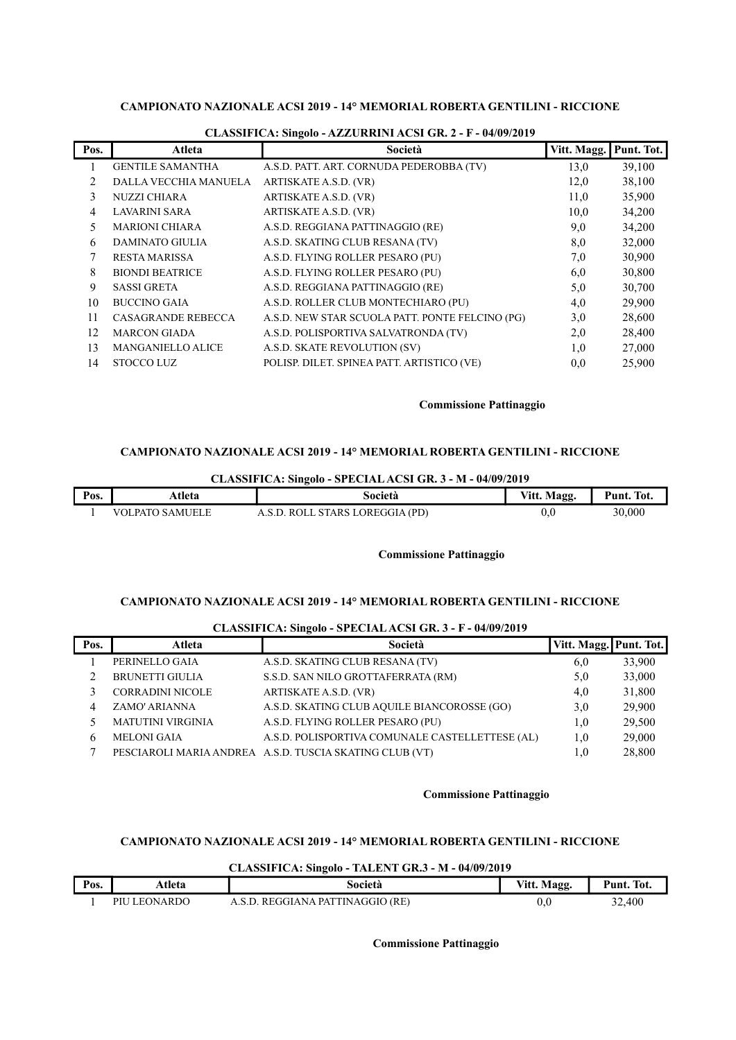| Pos. | Atleta                    | Società                                         | Vitt. Magg. | Punt. Tot. |
|------|---------------------------|-------------------------------------------------|-------------|------------|
|      | <b>GENTILE SAMANTHA</b>   | A.S.D. PATT. ART. CORNUDA PEDEROBBA (TV)        | 13,0        | 39,100     |
| 2    | DALLA VECCHIA MANUELA     | ARTISKATE A.S.D. (VR)                           | 12,0        | 38,100     |
| 3    | NUZZI CHIARA              | ARTISKATE A.S.D. (VR)                           | 11,0        | 35,900     |
| 4    | LAVARINI SARA             | ARTISKATE A.S.D. (VR)                           | 10,0        | 34,200     |
| 5    | <b>MARIONI CHIARA</b>     | A.S.D. REGGIANA PATTINAGGIO (RE)                | 9,0         | 34,200     |
| 6    | <b>DAMINATO GIULIA</b>    | A.S.D. SKATING CLUB RESANA (TV)                 | 8,0         | 32,000     |
| 7    | <b>RESTA MARISSA</b>      | A.S.D. FLYING ROLLER PESARO (PU)                | 7,0         | 30,900     |
| 8    | <b>BIONDI BEATRICE</b>    | A.S.D. FLYING ROLLER PESARO (PU)                | 6,0         | 30,800     |
| 9    | <b>SASSI GRETA</b>        | A.S.D. REGGIANA PATTINAGGIO (RE)                | 5,0         | 30,700     |
| 10   | <b>BUCCINO GAIA</b>       | A.S.D. ROLLER CLUB MONTECHIARO (PU)             | 4,0         | 29,900     |
| 11   | <b>CASAGRANDE REBECCA</b> | A.S.D. NEW STAR SCUOLA PATT. PONTE FELCINO (PG) | 3,0         | 28,600     |
| 12   | <b>MARCON GIADA</b>       | A.S.D. POLISPORTIVA SALVATRONDA (TV)            | 2,0         | 28,400     |
| 13   | <b>MANGANIELLO ALICE</b>  | A.S.D. SKATE REVOLUTION (SV)                    | 1,0         | 27,000     |
| 14   | STOCCO LUZ                | POLISP. DILET. SPINEA PATT. ARTISTICO (VE)      | 0,0         | 25,900     |

### CLASSIFICA: Singolo - AZZURRINI ACSI GR. 2 - F - 04/09/2019

### Commissione Pattinaggio

# CAMPIONATO NAZIONALE ACSI 2019 - 14° MEMORIAL ROBERTA GENTILINI - RICCIONE

CLASSIFICA: Singolo - SPECIAL ACSI GR. 3 - M - 04/09/2019

| Pos. | Atleta          | Società                                 | Vitt. Magg. | Tot.<br>Punt. |
|------|-----------------|-----------------------------------------|-------------|---------------|
|      | VOLPATO SAMUELE | . STARS LOREGGIA (PD)<br>-ROLI<br>. S D | 0.0         | 30,000        |

### Commissione Pattinaggio

# CAMPIONATO NAZIONALE ACSI 2019 - 14° MEMORIAL ROBERTA GENTILINI - RICCIONE

| CLASSIFICA: Singolo - SPECIAL ACSI GR. 3 - F - 04/09/2019 |                          |                                                         |                        |        |  |
|-----------------------------------------------------------|--------------------------|---------------------------------------------------------|------------------------|--------|--|
| Pos.                                                      | Atleta                   | Società                                                 | Vitt. Magg. Punt. Tot. |        |  |
|                                                           | PERINELLO GAIA           | A.S.D. SKATING CLUB RESANA (TV)                         | 6,0                    | 33,900 |  |
|                                                           | <b>BRUNETTI GIULIA</b>   | S.S.D. SAN NILO GROTTAFERRATA (RM)                      | 5,0                    | 33,000 |  |
|                                                           | <b>CORRADINI NICOLE</b>  | ARTISKATE A.S.D. (VR)                                   | 4,0                    | 31,800 |  |
| 4                                                         | ZAMO' ARIANNA            | A.S.D. SKATING CLUB AQUILE BIANCOROSSE (GO)             | 3,0                    | 29,900 |  |
|                                                           | <b>MATUTINI VIRGINIA</b> | A.S.D. FLYING ROLLER PESARO (PU)                        | 1,0                    | 29,500 |  |
| 6                                                         | <b>MELONI GAIA</b>       | A.S.D. POLISPORTIVA COMUNALE CASTELLETTESE (AL)         | 1,0                    | 29,000 |  |
|                                                           |                          | PESCIAROLI MARIA ANDREA A.S.D. TUSCIA SKATING CLUB (VT) | $1.0\,$                | 28,800 |  |

# $\overline{C}$  and  $\overline{C}$  and  $\overline{C}$   $\overline{C}$  sunset  $\overline{C}$  and  $\overline{C}$  and  $\overline{C}$  and  $\overline{C}$  and  $\overline{C}$  and  $\overline{C}$  and  $\overline{C}$  and  $\overline{C}$  and  $\overline{C}$  and  $\overline{C}$  and  $\overline{C}$  and  $\overline{C}$  and  $\overline{C}$  and

### Commissione Pattinaggio

# CAMPIONATO NAZIONALE ACSI 2019 - 14° MEMORIAL ROBERTA GENTILINI - RICCIONE

CLASSIFICA: Singolo - TALENT GR.3 - M - 04/09/2019

| Pos. | Atleta       | Società                          | Vitt. Magg. | Punt. Tot. |
|------|--------------|----------------------------------|-------------|------------|
|      | PIU LEONARDO | A.S.D. REGGIANA PATTINAGGIO (RE) | 0.0         | 32,400     |